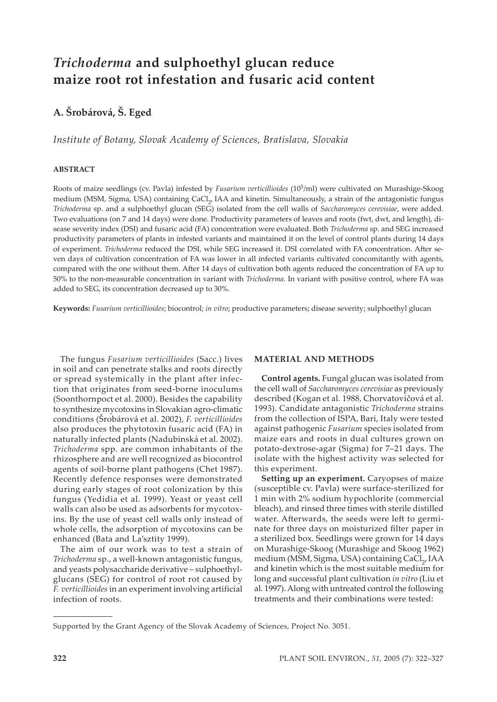# *Trichoderma* **and sulphoethyl glucan reduce maize root rot infestation and fusaric acid content**

## **A. Šrobárová, Š. Eged**

*Institute of Botany, Slovak Academy of Sciences, Bratislava, Slovakia*

## **ABSTRACT**

Roots of maize seedlings (cv. Pavla) infested by *Fusarium verticillioides* (105/ml) were cultivated on Murashige-Skoog medium (MSM, Sigma, USA) containing CaCl<sub>2</sub>, IAA and kinetin. Simultaneously, a strain of the antagonistic fungus *Trichoderma* sp. and a sulphoethyl glucan (SEG) isolated from the cell walls of *Saccharomyces cerevisiae*, were added*.* Two evaluations (on 7 and 14 days) were done. Productivity parameters of leaves and roots (fwt, dwt, and length), disease severity index (DSI) and fusaric acid (FA) concentration were evaluated. Both *Trichoderma* sp. and SEG increased productivity parameters of plants in infested variants and maintained it on the level of control plants during 14 days of experiment. *Trichoderma* reduced the DSI, while SEG increased it. DSI correlated with FA concentration. A�er seven days of cultivation concentration of FA was lower in all infected variants cultivated concomitantly with agents, compared with the one without them. A�er 14 days of cultivation both agents reduced the concentration of FA up to 50% to the non-measurable concentration in variant with *Trichoderma*. In variant with positive control, where FA was added to SEG, its concentration decreased up to 30%.

**Keywords:** *Fusarium verticillioides*; biocontrol; *in vitro*; productive parameters; disease severity; sulphoethyl glucan

The fungus *Fusarium verticillioides* (Sacc.) lives in soil and can penetrate stalks and roots directly or spread systemically in the plant after infection that originates from seed-borne inoculums (Soonthornpoct et al. 2000). Besides the capability to synthesize mycotoxins in Slovakian agro-climatic conditions (Šrobárová et al. 2002), *F. verticillioides* also produces the phytotoxin fusaric acid (FA) in naturally infected plants (Nadubinská et al. 2002). *Trichoderma* spp*.* are common inhabitants of the rhizosphere and are well recognized as biocontrol agents of soil-borne plant pathogens (Chet 1987). Recently defence responses were demonstrated during early stages of root colonization by this fungus (Yedidia et al. 1999). Yeast or yeast cell walls can also be used as adsorbents for mycotoxins. By the use of yeast cell walls only instead of whole cells, the adsorption of mycotoxins can be enhanced (Bata and La'sztity 1999).

The aim of our work was to test a strain of *Trichoderma* sp., a well-known antagonistic fungus, and yeasts polysaccharide derivative – sulphoethylglucans (SEG) for control of root rot caused by *F. verticillioides* in an experiment involving artificial infection of roots.

## **MATERIAL AND METHODS**

**Control agents.** Fungal glucan was isolated from the cell wall of *Saccharomyces cerevisiae* as previously described (Kogan et al*.* 1988, Chorvatovičová et al. 1993). Candidate antagonistic *Trichoderma* strains from the collection of ISPA, Bari, Italy were tested against pathogenic *Fusarium* species isolated from maize ears and roots in dual cultures grown on potato-dextrose-agar (Sigma) for 7–21 days. The isolate with the highest activity was selected for this experiment.

**Setting up an experiment.** Caryopses of maize (susceptible cv. Pavla) were surface-sterilized for 1 min with 2% sodium hypochlorite (commercial bleach), and rinsed three times with sterile distilled water. Afterwards, the seeds were left to germinate for three days on moisturized filter paper in a sterilized box. Seedlings were grown for 14 days on Murashige-Skoog (Murashige and Skoog 1962) medium (MSM, Sigma, USA) containing CaCl<sub>2</sub>, IAA and kinetin which is the most suitable medium for long and successful plant cultivation *in vitro* (Liu et al. 1997). Along with untreated control the following treatments and their combinations were tested:

Supported by the Grant Agency of the Slovak Academy of Sciences, Project No. 3051.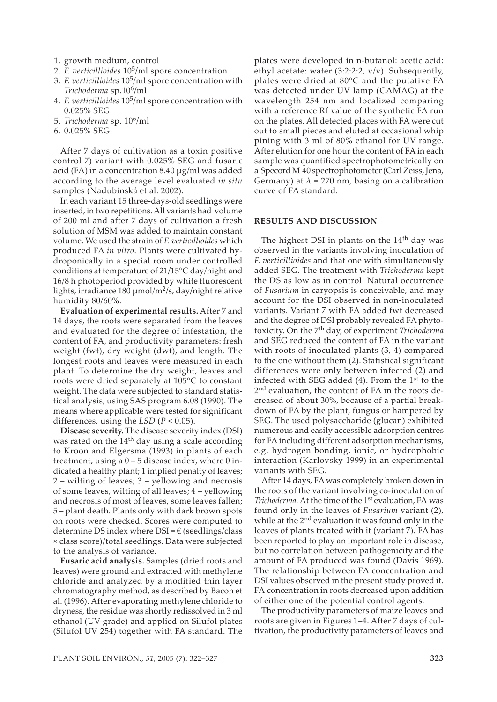- 1. growth medium, control
- 2. *F. verticillioides* 105/ml spore concentration
- 3. *F. verticillioides* 105/ml spore concentration with *Trichoderma* sp.106/ml
- 4. *F. verticillioides* 105/ml spore concentration with 0.025% SEG
- 5. *Trichoderma* sp. 106/ml
- 6. 0.025% SEG

After 7 days of cultivation as a toxin positive control 7) variant with 0.025% SEG and fusaric acid (FA) in a concentration 8.40 µg/ml was added according to the average level evaluated *in situ* samples (Nadubinská et al. 2002).

In each variant 15 three-days-old seedlings were inserted, in two repetitions. All variants had volume of 200 ml and after 7 days of cultivation a fresh solution of MSM was added to maintain constant volume. We used the strain of *F. verticillioides* which produced FA *in vitro*. Plants were cultivated hydroponically in a special room under controlled conditions at temperature of 21/15°C day/night and 16/8 h photoperiod provided by white fluorescent lights, irradiance 180  $\mu$ mol/m<sup>2</sup>/s, day/night relative humidity 80/60%.

**Evaluation of experimental results.** After 7 and 14 days, the roots were separated from the leaves and evaluated for the degree of infestation, the content of FA, and productivity parameters: fresh weight (fwt), dry weight (dwt), and length. The longest roots and leaves were measured in each plant. To determine the dry weight, leaves and roots were dried separately at 105°C to constant weight. The data were subjected to standard statistical analysis, using SAS program 6.08 (1990). The means where applicable were tested for significant differences, using the *LSD* (*P* < 0.05).

**Disease severity.** The disease severity index (DSI) was rated on the  $14<sup>th</sup>$  day using a scale according to Kroon and Elgersma (1993) in plants of each treatment, using a  $0 - 5$  disease index, where 0 indicated a healthy plant; 1 implied penalty of leaves; 2 – wilting of leaves; 3 – yellowing and necrosis of some leaves, wilting of all leaves; 4 – yellowing and necrosis of most of leaves, some leaves fallen; 5 – plant death. Plants only with dark brown spots on roots were checked. Scores were computed to determine DS index where  $DSI = \epsilon$  (seedlings/class × class score)/total seedlings. Data were subjected to the analysis of variance.

**Fusaric acid analysis.** Samples (dried roots and leaves) were ground and extracted with methylene chloride and analyzed by a modified thin layer chromatography method, as described by Bacon et al. (1996). After evaporating methylene chloride to dryness, the residue was shortly redissolved in 3 ml ethanol (UV-grade) and applied on Silufol plates (Silufol UV 254) together with FA standard. The

plates were developed in n-butanol: acetic acid: ethyl acetate: water (3:2:2:2, v/v). Subsequently, plates were dried at 80°C and the putative FA was detected under UV lamp (CAMAG) at the wavelength 254 nm and localized comparing with a reference Rf value of the synthetic FA run on the plates. All detected places with FA were cut out to small pieces and eluted at occasional whip pining with 3 ml of 80% ethanol for UV range. After elution for one hour the content of FA in each sample was quantified spectrophotometrically on a Specord M 40 spectrophotometer (Carl Zeiss, Jena, Germany) at  $\lambda$  = 270 nm, basing on a calibration curve of FA standard.

#### **RESULTS AND DISCUSSION**

The highest DSI in plants on the  $14<sup>th</sup>$  day was observed in the variants involving inoculation of *F. verticillioides* and that one with simultaneously added SEG. The treatment with *Trichoderma* kept the DS as low as in control. Natural occurrence of *Fusarium* in caryopsis is conceivable, and may account for the DSI observed in non-inoculated variants. Variant 7 with FA added fwt decreased and the degree of DSI probably revealed FA phytotoxicity. On the 7th day, of experiment *Trichoderma* and SEG reduced the content of FA in the variant with roots of inoculated plants (3, 4) compared to the one without them (2). Statistical significant differences were only between infected (2) and infected with SEG added (4). From the 1st to the 2<sup>nd</sup> evaluation, the content of FA in the roots decreased of about 30%, because of a partial breakdown of FA by the plant, fungus or hampered by SEG. The used polysaccharide (glucan) exhibited numerous and easily accessible adsorption centres for FA including different adsorption mechanisms, e.g. hydrogen bonding, ionic, or hydrophobic interaction (Karlovsky 1999) in an experimental variants with SEG.

After 14 days, FA was completely broken down in the roots of the variant involving co-inoculation of *Trichoderma.* At the time of the 1<sup>st</sup> evaluation, FA was found only in the leaves of *Fusarium* variant (2), while at the 2<sup>nd</sup> evaluation it was found only in the leaves of plants treated with it (variant 7). FA has been reported to play an important role in disease, but no correlation between pathogenicity and the amount of FA produced was found (Davis 1969). The relationship between FA concentration and DSI values observed in the present study proved it. FA concentration in roots decreased upon addition of either one of the potential control agents.

The productivity parameters of maize leaves and roots are given in Figures 1–4. After 7 days of cultivation, the productivity parameters of leaves and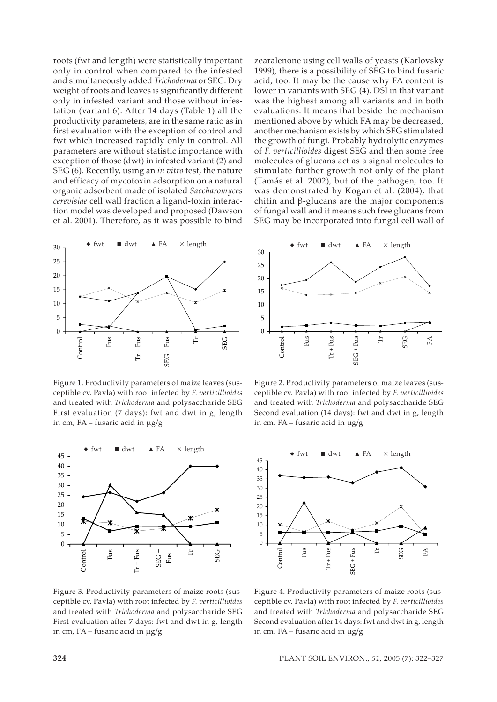roots (fwt and length) were statistically important only in control when compared to the infested and simultaneously added *Trichoderma* or SEG. Dry weight of roots and leaves is significantly different only in infested variant and those without infestation (variant 6). After 14 days (Table 1) all the productivity parameters, are in the same ratio as in first evaluation with the exception of control and fwt which increased rapidly only in control. All parameters are without statistic importance with exception of those (dwt) in infested variant (2) and SEG (6). Recently, using an *in vitro* test, the nature and efficacy of mycotoxin adsorption on a natural organic adsorbent made of isolated *Saccharomyces cerevisiae* cell wall fraction a ligand-toxin interaction model was developed and proposed (Dawson et al. 2001). Therefore, as it was possible to bind



Figure 1. Productivity parameters of maize leaves (susceptible cv. Pavla) with root infected by *F. verticillioides*  and treated with *Trichoderma* and polysaccharide SEG First evaluation (7 days): fwt and dwt in g, length in cm, FA – fusaric acid in  $\mu$ g/g



Figure 3. Productivity parameters of maize roots (susceptible cv. Pavla) with root infected by *F. verticillioides*  and treated with *Trichoderma* and polysaccharide SEG First evaluation after 7 days: fwt and dwt in g, length in cm, FA – fusaric acid in  $\mu$ g/g

zearalenone using cell walls of yeasts (Karlovsky 1999), there is a possibility of SEG to bind fusaric acid, too. It may be the cause why FA content is lower in variants with SEG (4). DSI in that variant was the highest among all variants and in both evaluations. It means that beside the mechanism mentioned above by which FA may be decreased, another mechanism exists by which SEG stimulated the growth of fungi. Probably hydrolytic enzymes of *F. verticillioides* digest SEG and then some free molecules of glucans act as a signal molecules to stimulate further growth not only of the plant (Tamás et al. 2002), but of the pathogen, too. It was demonstrated by Kogan et al. (2004), that chitin and β-glucans are the major components of fungal wall and it means such free glucans from SEG may be incorporated into fungal cell wall of



Figure 2. Productivity parameters of maize leaves (susceptible cv. Pavla) with root infected by *F. verticillioides*  and treated with *Trichoderma* and polysaccharide SEG Second evaluation (14 days): fwt and dwt in g, length in cm, FA – fusaric acid in µg/g



Figure 4. Productivity parameters of maize roots (susceptible cv. Pavla) with root infected by *F. verticillioides*  and treated with *Trichoderma* and polysaccharide SEG Second evaluation after 14 days: fwt and dwt in g, length in cm, FA – fusaric acid in  $\mu$ g/g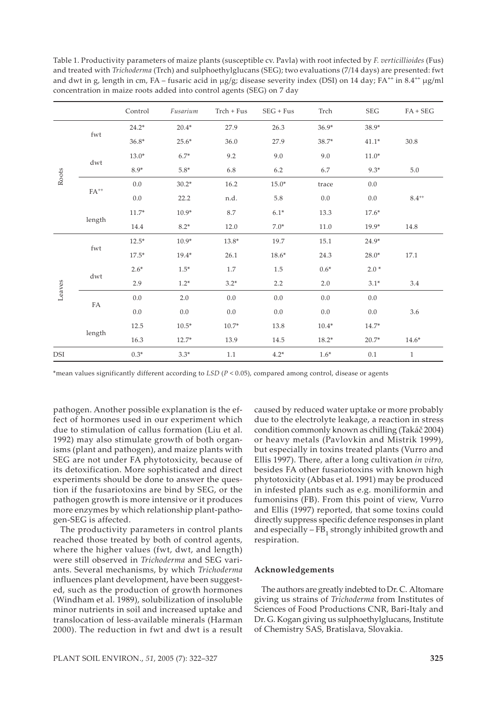|            |                                  | Control | Fusarium | Trch + Fus | $SEG + Fus$ | Trch    | SEG     | $FA + SEG$   |
|------------|----------------------------------|---------|----------|------------|-------------|---------|---------|--------------|
| Roots      | fwt                              | $24.2*$ | $20.4*$  | 27.9       | 26.3        | $36.9*$ | 38.9*   |              |
|            |                                  | $36.8*$ | $25.6*$  | 36.0       | 27.9        | 38.7*   | $41.1*$ | $30.8\,$     |
|            | dwt                              | $13.0*$ | $6.7*$   | 9.2        | 9.0         | 9.0     | $11.0*$ |              |
|            |                                  | $8.9*$  | $5.8*$   | 6.8        | 6.2         | 6.7     | $9.3*$  | 5.0          |
|            | ${\rm FA}^{++}$                  | $0.0\,$ | $30.2*$  | 16.2       | $15.0*$     | trace   | $0.0\,$ |              |
|            |                                  | $0.0\,$ | 22.2     | n.d.       | 5.8         | $0.0\,$ | $0.0\,$ | $8.4^{++}$   |
|            | length                           | $11.7*$ | $10.9*$  | 8.7        | $6.1*$      | 13.3    | $17.6*$ |              |
|            |                                  | 14.4    | $8.2*$   | 12.0       | $7.0*$      | 11.0    | 19.9*   | 14.8         |
| Leaves     | $\operatorname{fwt}$             | $12.5*$ | $10.9*$  | 13.8*      | 19.7        | 15.1    | $24.9*$ |              |
|            |                                  | $17.5*$ | $19.4*$  | 26.1       | $18.6*$     | 24.3    | $28.0*$ | 17.1         |
|            | $\mathrm{d}\mathrm{w}\mathrm{t}$ | $2.6*$  | $1.5*$   | 1.7        | 1.5         | $0.6*$  | $2.0*$  |              |
|            |                                  | 2.9     | $1.2*$   | $3.2*$     | 2.2         | 2.0     | $3.1*$  | 3.4          |
|            | ${\rm FA}$                       | $0.0\,$ | $2.0\,$  | $0.0\,$    | $0.0\,$     | $0.0\,$ | $0.0\,$ |              |
|            |                                  | $0.0\,$ | $0.0\,$  | $0.0\,$    | $0.0\,$     | $0.0\,$ | $0.0\,$ | 3.6          |
|            | length                           | 12.5    | $10.5*$  | $10.7*$    | 13.8        | $10.4*$ | $14.7*$ |              |
|            |                                  | 16.3    | $12.7*$  | 13.9       | 14.5        | $18.2*$ | $20.7*$ | $14.6*$      |
| <b>DSI</b> |                                  | $0.3*$  | $3.3*$   | 1.1        | $4.2*$      | $1.6*$  | 0.1     | $\mathbf{1}$ |

Table 1. Productivity parameters of maize plants (susceptible cv. Pavla) with root infected by *F. verticillioides* (Fus) and treated with *Trichoderma* (Trch) and sulphoethylglucans (SEG); two evaluations (7/14 days) are presented: fwt and dwt in g, length in cm, FA – fusaric acid in  $\mu$ g/g; disease severity index (DSI) on 14 day; FA<sup>++</sup> in 8.4<sup>++</sup>  $\mu$ g/ml concentration in maize roots added into control agents (SEG) on 7 day

\*mean values significantly different according to *LSD* (*P* < 0.05), compared among control, disease or agents

pathogen. Another possible explanation is the effect of hormones used in our experiment which due to stimulation of callus formation (Liu et al. 1992) may also stimulate growth of both organisms (plant and pathogen), and maize plants with SEG are not under FA phytotoxicity, because of its detoxification. More sophisticated and direct experiments should be done to answer the question if the fusariotoxins are bind by SEG, or the pathogen growth is more intensive or it produces more enzymes by which relationship plant-pathogen-SEG is affected.

The productivity parameters in control plants reached those treated by both of control agents, where the higher values (fwt, dwt, and length) were still observed in *Trichoderma* and SEG variants. Several mechanisms, by which *Trichoderma*  influences plant development, have been suggested, such as the production of growth hormones (Windham et al. 1989), solubilization of insoluble minor nutrients in soil and increased uptake and translocation of less-available minerals (Harman 2000). The reduction in fwt and dwt is a result

caused by reduced water uptake or more probably due to the electrolyte leakage, a reaction in stress condition commonly known as chilling (Takáč 2004) or heavy metals (Pavlovkin and Mistrik 1999), but especially in toxins treated plants (Vurro and Ellis 1997). There, after a long cultivation *in vitro,* besides FA other fusariotoxins with known high phytotoxicity (Abbas et al. 1991) may be produced in infested plants such as e.g. moniliformin and fumonisins (FB). From this point of view, Vurro and Ellis (1997) reported, that some toxins could directly suppress specific defence responses in plant and especially  $-FB<sub>1</sub>$  strongly inhibited growth and respiration.

#### **Acknowledgements**

The authors are greatly indebted to Dr. C. Altomare giving us strains of *Trichoderma* from Institutes of Sciences of Food Productions CNR, Bari-Italy and Dr. G. Kogan giving us sulphoethylglucans, Institute of Chemistry SAS, Bratislava, Slovakia.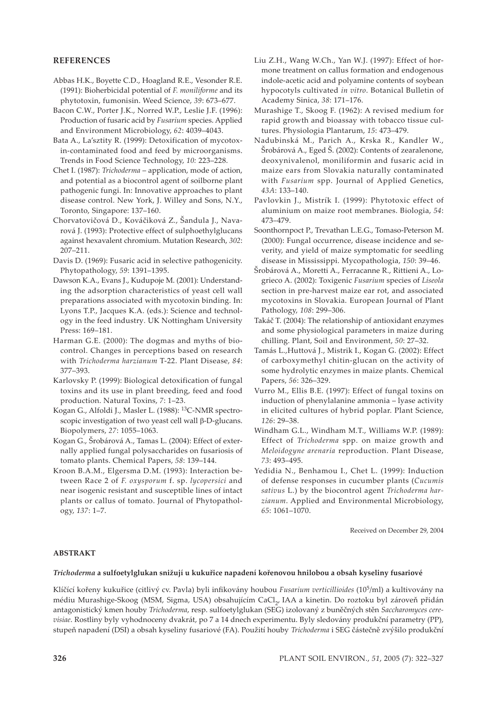## **REFERENCES**

- Abbas H.K., Boyette C.D., Hoagland R.E., Vesonder R.E. (1991): Bioherbicidal potential of *F. moniliforme* and its phytotoxin, fumonisin. Weed Science, *39*: 673–677.
- Bacon C.W., Porter J.K., Norred W.P., Leslie J.F. (1996): Production of fusaric acid by *Fusarium* species. Applied and Environment Microbiology, *62*: 4039–4043.
- Bata A., La'sztity R. (1999): Detoxification of mycotoxin-contaminated food and feed by microorganisms. Trends in Food Science Technology, *10:* 223–228.
- Chet I. (1987): *Trichoderma* application, mode of action, and potential as a biocontrol agent of soilborne plant pathogenic fungi. In: Innovative approaches to plant disease control. New York, J. Willey and Sons, N.Y., Toronto, Singapore: 137–160.
- Chorvatovičová D., Kováčiková Z., Šandula J., Navarová J. (1993): Protective effect of sulphoethylglucans against hexavalent chromium. Mutation Research, *302*: 207–211.
- Davis D. (1969): Fusaric acid in selective pathogenicity. Phytopathology, *59*: 1391–1395.
- Dawson K.A., Evans J., Kudupoje M. (2001): Understanding the adsorption characteristics of yeast cell wall preparations associated with mycotoxin binding. In: Lyons T.P., Jacques K.A. (eds.): Science and technology in the feed industry*.* UK Nottingham University Press: 169–181.
- Harman G.E. (2000): The dogmas and myths of biocontrol. Changes in perceptions based on research with *Trichoderma harzianum* T-22. Plant Disease, *84*: 377–393.
- Karlovsky P. (1999): Biological detoxification of fungal toxins and its use in plant breeding, feed and food production. Natural Toxins, *7*: 1–23.
- Kogan G., Alfoldi J., Masler L. (1988): 13C-NMR spectroscopic investigation of two yeast cell wall β-D-glucans. Biopolymers, *27*: 1055–1063.
- Kogan G., Šrobárová A., Tamas L. (2004): Effect of externally applied fungal polysaccharides on fusariosis of tomato plants. Chemical Papers, *58*: 139–144.
- Kroon B.A.M., Elgersma D.M. (1993): Interaction between Race 2 of *F. oxysporum* f. sp. *lycopersici* and near isogenic resistant and susceptible lines of intact plants or callus of tomato. Journal of Phytopathology, *137*: 1–7.
- Liu Z.H., Wang W.Ch., Yan W.J. (1997): Effect of hormone treatment on callus formation and endogenous indole-acetic acid and polyamine contents of soybean hypocotyls cultivated *in vitro*. Botanical Bulletin of Academy Sinica, *38*: 171–176.
- Murashige T., Skoog F. (1962): A revised medium for rapid growth and bioassay with tobacco tissue cultures. Physiologia Plantarum, *15*: 473–479.
- Nadubinská M., Parich A., Krska R., Kandler W., Šrobárová A., Eged Š. (2002): Contents of zearalenone, deoxynivalenol, moniliformin and fusaric acid in maize ears from Slovakia naturally contaminated with *Fusarium* spp. Journal of Applied Genetics, *43A*: 133–140.
- Pavlovkin J., Mistrík I. (1999): Phytotoxic effect of aluminium on maize root membranes. Biologia, *54*: 473–479.
- Soonthornpoct P., Trevathan L.E.G., Tomaso-Peterson M. (2000): Fungal occurrence, disease incidence and severity, and yield of maize symptomatic for seedling disease in Mississippi. Mycopathologia, *150*: 39–46.
- Šrobárová A., Moretti A., Ferracanne R., Rittieni A., Logrieco A. (2002): Toxigenic *Fusarium* species of *Liseola* section in pre-harvest maize ear rot, and associated mycotoxins in Slovakia. European Journal of Plant Pathology, *108*: 299–306.
- Takáč T. (2004): The relationship of antioxidant enzymes and some physiological parameters in maize during chilling. Plant, Soil and Environment, *50*: 27–32.
- Tamás L.,Huttová J., Mistrik I., Kogan G. (2002): Effect of carboxymethyl chitin-glucan on the activity of some hydrolytic enzymes in maize plants. Chemical Papers, *56*: 326–329.
- Vurro M., Ellis B.E. (1997): Effect of fungal toxins on induction of phenylalanine ammonia – lyase activity in elicited cultures of hybrid poplar. Plant Science, *126*: 29–38.
- Windham G.L., Windham M.T., Williams W.P. (1989): Effect of *Trichoderma* spp. on maize growth and *Meloidogyne arenaria* reproduction. Plant Disease, *73*: 493–495.
- Yedidia N., Benhamou I., Chet L. (1999): Induction of defense responses in cucumber plants (*Cucumis sativus* L.) by the biocontrol agent *Trichoderma harzianum*. Applied and Environmental Microbiology, *65*: 1061–1070.

Received on December 29, 2004

## **ABSTRAKT**

#### *Trichoderma* **a sulfoetylglukan snižují u kukuřice napadení kořenovou hnilobou a obsah kyseliny fusariové**

Klíčící kořeny kukuřice (citlivý cv. Pavla) byli infikovány houbou *Fusarium verticillioides* (105/ml) a kultivovány na médiu Murashige-Skoog (MSM, Sigma, USA) obsahujícím CaCl<sub>2</sub>, IAA a kinetin. Do roztoku byl zároveň přidán antagonistický kmen houby *Trichoderma*, resp. sulfoetylglukan (SEG) izolovaný z buněčných stěn *Saccharomyces cerevisiae*. Rostliny byly vyhodnoceny dvakrát, po 7 a 14 dnech experimentu. Byly sledovány produkční parametry (PP), stupeň napadení (DSI) a obsah kyseliny fusariové (FA). Použití houby *Trichoderma* i SEG částečně zvýšilo produkční